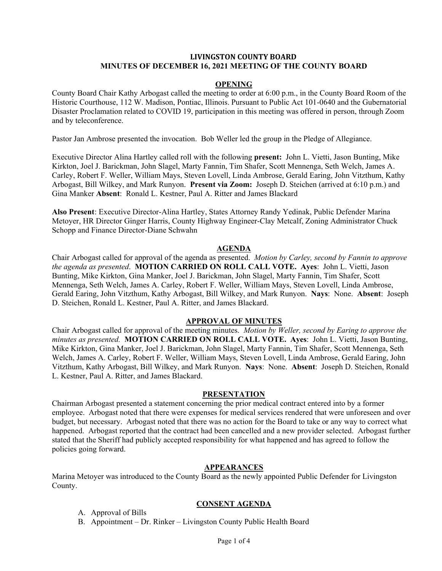# **LIVINGSTON COUNTY BOARD MINUTES OF DECEMBER 16, 2021 MEETING OF THE COUNTY BOARD**

### **OPENING**

County Board Chair Kathy Arbogast called the meeting to order at 6:00 p.m., in the County Board Room of the Historic Courthouse, 112 W. Madison, Pontiac, Illinois. Pursuant to Public Act 101-0640 and the Gubernatorial Disaster Proclamation related to COVID 19, participation in this meeting was offered in person, through Zoom and by teleconference.

Pastor Jan Ambrose presented the invocation. Bob Weller led the group in the Pledge of Allegiance.

Executive Director Alina Hartley called roll with the following **present:** John L. Vietti, Jason Bunting, Mike Kirkton, Joel J. Barickman, John Slagel, Marty Fannin, Tim Shafer, Scott Mennenga, Seth Welch, James A. Carley, Robert F. Weller, William Mays, Steven Lovell, Linda Ambrose, Gerald Earing, John Vitzthum, Kathy Arbogast, Bill Wilkey, and Mark Runyon. **Present via Zoom:** Joseph D. Steichen (arrived at 6:10 p.m.) and Gina Manker **Absent**: Ronald L. Kestner, Paul A. Ritter and James Blackard

**Also Present**: Executive Director-Alina Hartley, States Attorney Randy Yedinak, Public Defender Marina Metoyer, HR Director Ginger Harris, County Highway Engineer-Clay Metcalf, Zoning Administrator Chuck Schopp and Finance Director-Diane Schwahn

### **AGENDA**

Chair Arbogast called for approval of the agenda as presented. *Motion by Carley, second by Fannin to approve the agenda as presented*. **MOTION CARRIED ON ROLL CALL VOTE. Ayes**: John L. Vietti, Jason Bunting, Mike Kirkton, Gina Manker, Joel J. Barickman, John Slagel, Marty Fannin, Tim Shafer, Scott Mennenga, Seth Welch, James A. Carley, Robert F. Weller, William Mays, Steven Lovell, Linda Ambrose, Gerald Earing, John Vitzthum, Kathy Arbogast, Bill Wilkey, and Mark Runyon. **Nays**: None. **Absent**: Joseph D. Steichen, Ronald L. Kestner, Paul A. Ritter, and James Blackard.

### **APPROVAL OF MINUTES**

Chair Arbogast called for approval of the meeting minutes. *Motion by Weller, second by Earing to approve the minutes as presented.* **MOTION CARRIED ON ROLL CALL VOTE. Ayes**: John L. Vietti, Jason Bunting, Mike Kirkton, Gina Manker, Joel J. Barickman, John Slagel, Marty Fannin, Tim Shafer, Scott Mennenga, Seth Welch, James A. Carley, Robert F. Weller, William Mays, Steven Lovell, Linda Ambrose, Gerald Earing, John Vitzthum, Kathy Arbogast, Bill Wilkey, and Mark Runyon. **Nays**: None. **Absent**: Joseph D. Steichen, Ronald L. Kestner, Paul A. Ritter, and James Blackard.

### **PRESENTATION**

Chairman Arbogast presented a statement concerning the prior medical contract entered into by a former employee. Arbogast noted that there were expenses for medical services rendered that were unforeseen and over budget, but necessary. Arbogast noted that there was no action for the Board to take or any way to correct what happened. Arbogast reported that the contract had been cancelled and a new provider selected. Arbogast further stated that the Sheriff had publicly accepted responsibility for what happened and has agreed to follow the policies going forward.

# **APPEARANCES**

Marina Metoyer was introduced to the County Board as the newly appointed Public Defender for Livingston County.

# **CONSENT AGENDA**

- A. Approval of Bills
- B. Appointment Dr. Rinker Livingston County Public Health Board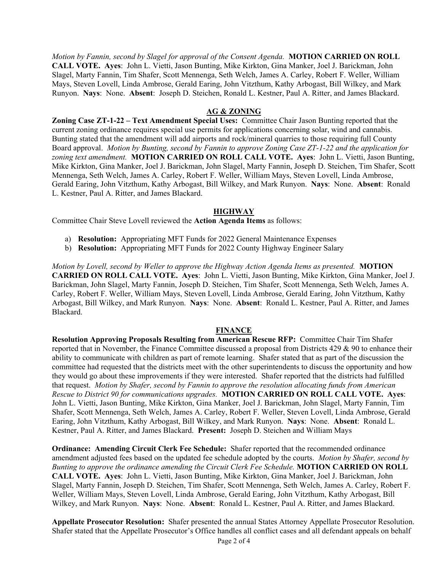*Motion by Fannin, second by Slagel for approval of the Consent Agenda.* **MOTION CARRIED ON ROLL CALL VOTE. Ayes**: John L. Vietti, Jason Bunting, Mike Kirkton, Gina Manker, Joel J. Barickman, John Slagel, Marty Fannin, Tim Shafer, Scott Mennenga, Seth Welch, James A. Carley, Robert F. Weller, William Mays, Steven Lovell, Linda Ambrose, Gerald Earing, John Vitzthum, Kathy Arbogast, Bill Wilkey, and Mark Runyon. **Nays**: None. **Absent**: Joseph D. Steichen, Ronald L. Kestner, Paul A. Ritter, and James Blackard.

# **AG & ZONING**

**Zoning Case ZT-1-22 – Text Amendment Special Uses:** Committee Chair Jason Bunting reported that the current zoning ordinance requires special use permits for applications concerning solar, wind and cannabis. Bunting stated that the amendment will add airports and rock/mineral quarries to those requiring full County Board approval. *Motion by Bunting, second by Fannin to approve Zoning Case ZT-1-22 and the application for zoning text amendment.* **MOTION CARRIED ON ROLL CALL VOTE. Ayes**: John L. Vietti, Jason Bunting, Mike Kirkton, Gina Manker, Joel J. Barickman, John Slagel, Marty Fannin, Joseph D. Steichen, Tim Shafer, Scott Mennenga, Seth Welch, James A. Carley, Robert F. Weller, William Mays, Steven Lovell, Linda Ambrose, Gerald Earing, John Vitzthum, Kathy Arbogast, Bill Wilkey, and Mark Runyon. **Nays**: None. **Absent**: Ronald L. Kestner, Paul A. Ritter, and James Blackard.

# **HIGHWAY**

Committee Chair Steve Lovell reviewed the **Action Agenda Items** as follows:

- a) **Resolution:** Appropriating MFT Funds for 2022 General Maintenance Expenses
- b) **Resolution:** Appropriating MFT Funds for 2022 County Highway Engineer Salary

*Motion by Lovell, second by Weller to approve the Highway Action Agenda Items as presented.* **MOTION CARRIED ON ROLL CALL VOTE. Ayes**: John L. Vietti, Jason Bunting, Mike Kirkton, Gina Manker, Joel J. Barickman, John Slagel, Marty Fannin, Joseph D. Steichen, Tim Shafer, Scott Mennenga, Seth Welch, James A. Carley, Robert F. Weller, William Mays, Steven Lovell, Linda Ambrose, Gerald Earing, John Vitzthum, Kathy Arbogast, Bill Wilkey, and Mark Runyon. **Nays**: None. **Absent**: Ronald L. Kestner, Paul A. Ritter, and James Blackard.

# **FINANCE**

**Resolution Approving Proposals Resulting from American Rescue RFP:** Committee Chair Tim Shafer reported that in November, the Finance Committee discussed a proposal from Districts 429 & 90 to enhance their ability to communicate with children as part of remote learning. Shafer stated that as part of the discussion the committee had requested that the districts meet with the other superintendents to discuss the opportunity and how they would go about these improvements if they were interested. Shafer reported that the districts had fulfilled that request. *Motion by Shafer, second by Fannin to approve the resolution allocating funds from American Rescue to District 90 for communications upgrades.* **MOTION CARRIED ON ROLL CALL VOTE. Ayes**: John L. Vietti, Jason Bunting, Mike Kirkton, Gina Manker, Joel J. Barickman, John Slagel, Marty Fannin, Tim Shafer, Scott Mennenga, Seth Welch, James A. Carley, Robert F. Weller, Steven Lovell, Linda Ambrose, Gerald Earing, John Vitzthum, Kathy Arbogast, Bill Wilkey, and Mark Runyon. **Nays**: None. **Absent**: Ronald L. Kestner, Paul A. Ritter, and James Blackard. **Present:** Joseph D. Steichen and William Mays

**Ordinance: Amending Circuit Clerk Fee Schedule:** Shafer reported that the recommended ordinance amendment adjusted fees based on the updated fee schedule adopted by the courts. *Motion by Shafer, second by Bunting to approve the ordinance amending the Circuit Clerk Fee Schedule.* **MOTION CARRIED ON ROLL CALL VOTE. Ayes**: John L. Vietti, Jason Bunting, Mike Kirkton, Gina Manker, Joel J. Barickman, John Slagel, Marty Fannin, Joseph D. Steichen, Tim Shafer, Scott Mennenga, Seth Welch, James A. Carley, Robert F. Weller, William Mays, Steven Lovell, Linda Ambrose, Gerald Earing, John Vitzthum, Kathy Arbogast, Bill Wilkey, and Mark Runyon. **Nays**: None. **Absent**: Ronald L. Kestner, Paul A. Ritter, and James Blackard.

**Appellate Prosecutor Resolution:** Shafer presented the annual States Attorney Appellate Prosecutor Resolution. Shafer stated that the Appellate Prosecutor's Office handles all conflict cases and all defendant appeals on behalf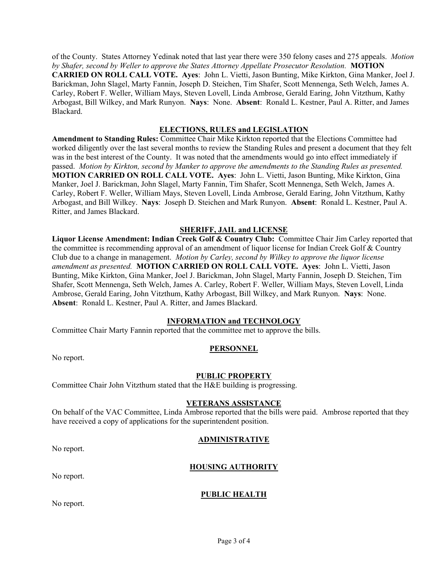of the County. States Attorney Yedinak noted that last year there were 350 felony cases and 275 appeals. *Motion by Shafer, second by Weller to approve the States Attorney Appellate Prosecutor Resolution.* **MOTION CARRIED ON ROLL CALL VOTE. Ayes**: John L. Vietti, Jason Bunting, Mike Kirkton, Gina Manker, Joel J. Barickman, John Slagel, Marty Fannin, Joseph D. Steichen, Tim Shafer, Scott Mennenga, Seth Welch, James A. Carley, Robert F. Weller, William Mays, Steven Lovell, Linda Ambrose, Gerald Earing, John Vitzthum, Kathy Arbogast, Bill Wilkey, and Mark Runyon. **Nays**: None. **Absent**: Ronald L. Kestner, Paul A. Ritter, and James Blackard.

### **ELECTIONS, RULES and LEGISLATION**

**Amendment to Standing Rules:** Committee Chair Mike Kirkton reported that the Elections Committee had worked diligently over the last several months to review the Standing Rules and present a document that they felt was in the best interest of the County. It was noted that the amendments would go into effect immediately if passed. *Motion by Kirkton, second by Manker to approve the amendments to the Standing Rules as presented.*  **MOTION CARRIED ON ROLL CALL VOTE. Ayes**: John L. Vietti, Jason Bunting, Mike Kirkton, Gina Manker, Joel J. Barickman, John Slagel, Marty Fannin, Tim Shafer, Scott Mennenga, Seth Welch, James A. Carley, Robert F. Weller, William Mays, Steven Lovell, Linda Ambrose, Gerald Earing, John Vitzthum, Kathy Arbogast, and Bill Wilkey. **Nays**: Joseph D. Steichen and Mark Runyon. **Absent**: Ronald L. Kestner, Paul A. Ritter, and James Blackard.

# **SHERIFF, JAIL and LICENSE**

**Liquor License Amendment: Indian Creek Golf & Country Club:** Committee Chair Jim Carley reported that the committee is recommending approval of an amendment of liquor license for Indian Creek Golf & Country Club due to a change in management. *Motion by Carley, second by Wilkey to approve the liquor license amendment as presented.* **MOTION CARRIED ON ROLL CALL VOTE. Ayes**: John L. Vietti, Jason Bunting, Mike Kirkton, Gina Manker, Joel J. Barickman, John Slagel, Marty Fannin, Joseph D. Steichen, Tim Shafer, Scott Mennenga, Seth Welch, James A. Carley, Robert F. Weller, William Mays, Steven Lovell, Linda Ambrose, Gerald Earing, John Vitzthum, Kathy Arbogast, Bill Wilkey, and Mark Runyon. **Nays**: None. **Absent**: Ronald L. Kestner, Paul A. Ritter, and James Blackard.

### **INFORMATION and TECHNOLOGY**

Committee Chair Marty Fannin reported that the committee met to approve the bills.

### **PERSONNEL**

No report.

### **PUBLIC PROPERTY**

Committee Chair John Vitzthum stated that the H&E building is progressing.

### **VETERANS ASSISTANCE**

On behalf of the VAC Committee, Linda Ambrose reported that the bills were paid. Ambrose reported that they have received a copy of applications for the superintendent position.

### **ADMINISTRATIVE**

No report.

# **HOUSING AUTHORITY**

No report.

### **PUBLIC HEALTH**

No report.